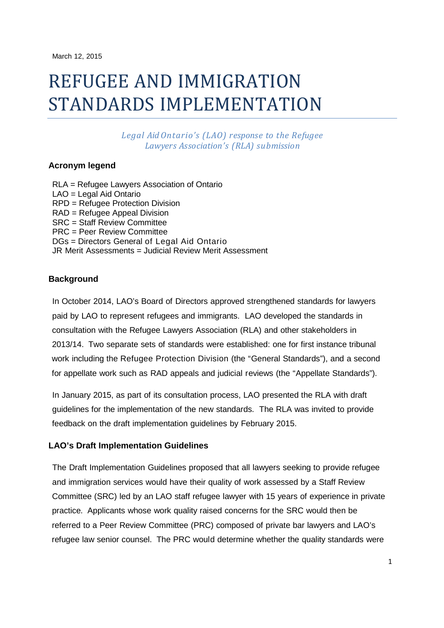# REFUGEE AND IMMIGRATION STANDARDS IMPLEMENTATION

*Legal Aid Ontario's (LAO) response to the Refugee Lawyers Association's (RLA) submission*

# **Acronym legend**

RLA = Refugee Lawyers Association of Ontario LAO = Legal Aid Ontario RPD = Refugee Protection Division RAD = Refugee Appeal Division SRC = Staff Review Committee PRC = Peer Review Committee DGs = Directors General of Legal Aid Ontario JR Merit Assessments = Judicial Review Merit Assessment

### **Background**

In October 2014, LAO's Board of Directors approved strengthened standards for lawyers paid by LAO to represent refugees and immigrants. LAO developed the standards in consultation with the Refugee Lawyers Association (RLA) and other stakeholders in 2013/14. Two separate sets of standards were established: one for first instance tribunal work including the Refugee Protection Division (the "General Standards"), and a second for appellate work such as RAD appeals and judicial reviews (the "Appellate Standards").

In January 2015, as part of its consultation process, LAO presented the RLA with draft guidelines for the implementation of the new standards. The RLA was invited to provide feedback on the draft implementation guidelines by February 2015.

## **LAO's Draft Implementation Guidelines**

The Draft Implementation Guidelines proposed that all lawyers seeking to provide refugee and immigration services would have their quality of work assessed by a Staff Review Committee (SRC) led by an LAO staff refugee lawyer with 15 years of experience in private practice. Applicants whose work quality raised concerns for the SRC would then be referred to a Peer Review Committee (PRC) composed of private bar lawyers and LAO's refugee law senior counsel. The PRC would determine whether the quality standards were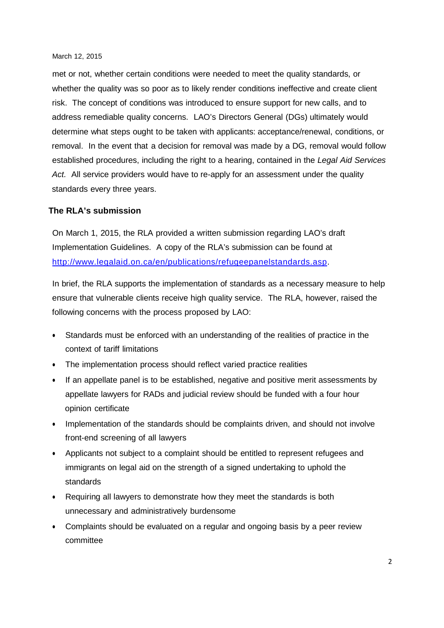met or not, whether certain conditions were needed to meet the quality standards, or whether the quality was so poor as to likely render conditions ineffective and create client risk. The concept of conditions was introduced to ensure support for new calls, and to address remediable quality concerns. LAO's Directors General (DGs) ultimately would determine what steps ought to be taken with applicants: acceptance/renewal, conditions, or removal. In the event that a decision for removal was made by a DG, removal would follow established procedures, including the right to a hearing, contained in the *Legal Aid Services Act.* All service providers would have to re-apply for an assessment under the quality standards every three years.

### **The RLA's submission**

On March 1, 2015, the RLA provided a written submission regarding LAO's draft Implementation Guidelines. A copy of the RLA's submission can be found at [http://www.legalaid.on.ca/en/publications/refugeepanelstandards.asp.](http://www.legalaid.on.ca/en/publications/refugeepanelstandards.asp)

In brief, the RLA supports the implementation of standards as a necessary measure to help ensure that vulnerable clients receive high quality service. The RLA, however, raised the following concerns with the process proposed by LAO:

- Standards must be enforced with an understanding of the realities of practice in the context of tariff limitations
- The implementation process should reflect varied practice realities
- If an appellate panel is to be established, negative and positive merit assessments by appellate lawyers for RADs and judicial review should be funded with a four hour opinion certificate
- Implementation of the standards should be complaints driven, and should not involve front-end screening of all lawyers
- Applicants not subject to a complaint should be entitled to represent refugees and immigrants on legal aid on the strength of a signed undertaking to uphold the standards
- Requiring all lawyers to demonstrate how they meet the standards is both unnecessary and administratively burdensome
- Complaints should be evaluated on a regular and ongoing basis by a peer review committee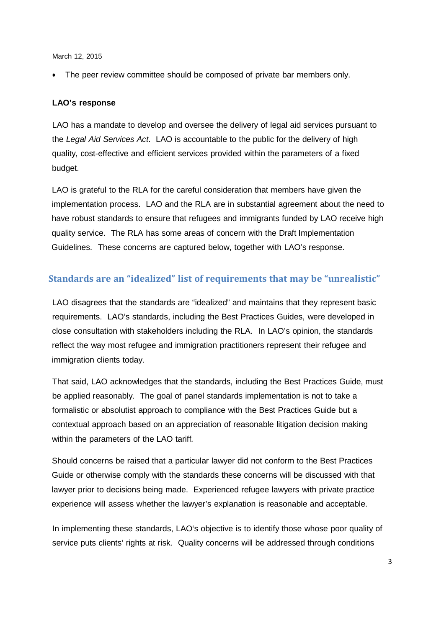The peer review committee should be composed of private bar members only.

# **LAO's response**

LAO has a mandate to develop and oversee the delivery of legal aid services pursuant to the *Legal Aid Services Act*. LAO is accountable to the public for the delivery of high quality, cost-effective and efficient services provided within the parameters of a fixed budget.

LAO is grateful to the RLA for the careful consideration that members have given the implementation process. LAO and the RLA are in substantial agreement about the need to have robust standards to ensure that refugees and immigrants funded by LAO receive high quality service. The RLA has some areas of concern with the Draft Implementation Guidelines. These concerns are captured below, together with LAO's response.

# **Standards are an "idealized" list of requirements that may be "unrealistic"**

LAO disagrees that the standards are "idealized" and maintains that they represent basic requirements. LAO's standards, including the Best Practices Guides, were developed in close consultation with stakeholders including the RLA. In LAO's opinion, the standards reflect the way most refugee and immigration practitioners represent their refugee and immigration clients today.

That said, LAO acknowledges that the standards, including the Best Practices Guide, must be applied reasonably. The goal of panel standards implementation is not to take a formalistic or absolutist approach to compliance with the Best Practices Guide but a contextual approach based on an appreciation of reasonable litigation decision making within the parameters of the LAO tariff*.*

Should concerns be raised that a particular lawyer did not conform to the Best Practices Guide or otherwise comply with the standards these concerns will be discussed with that lawyer prior to decisions being made. Experienced refugee lawyers with private practice experience will assess whether the lawyer's explanation is reasonable and acceptable.

In implementing these standards, LAO's objective is to identify those whose poor quality of service puts clients' rights at risk. Quality concerns will be addressed through conditions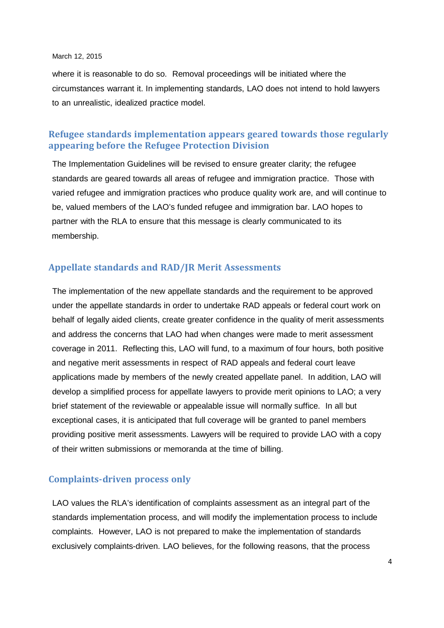where it is reasonable to do so. Removal proceedings will be initiated where the circumstances warrant it. In implementing standards, LAO does not intend to hold lawyers to an unrealistic, idealized practice model.

# **Refugee standards implementation appears geared towards those regularly appearing before the Refugee Protection Division**

The Implementation Guidelines will be revised to ensure greater clarity; the refugee standards are geared towards all areas of refugee and immigration practice. Those with varied refugee and immigration practices who produce quality work are, and will continue to be, valued members of the LAO's funded refugee and immigration bar. LAO hopes to partner with the RLA to ensure that this message is clearly communicated to its membership.

# **Appellate standards and RAD/JR Merit Assessments**

The implementation of the new appellate standards and the requirement to be approved under the appellate standards in order to undertake RAD appeals or federal court work on behalf of legally aided clients, create greater confidence in the quality of merit assessments and address the concerns that LAO had when changes were made to merit assessment coverage in 2011. Reflecting this, LAO will fund, to a maximum of four hours, both positive and negative merit assessments in respect of RAD appeals and federal court leave applications made by members of the newly created appellate panel. In addition, LAO will develop a simplified process for appellate lawyers to provide merit opinions to LAO; a very brief statement of the reviewable or appealable issue will normally suffice. In all but exceptional cases, it is anticipated that full coverage will be granted to panel members providing positive merit assessments. Lawyers will be required to provide LAO with a copy of their written submissions or memoranda at the time of billing.

## **Complaints-driven process only**

LAO values the RLA's identification of complaints assessment as an integral part of the standards implementation process, and will modify the implementation process to include complaints. However, LAO is not prepared to make the implementation of standards exclusively complaints-driven. LAO believes, for the following reasons, that the process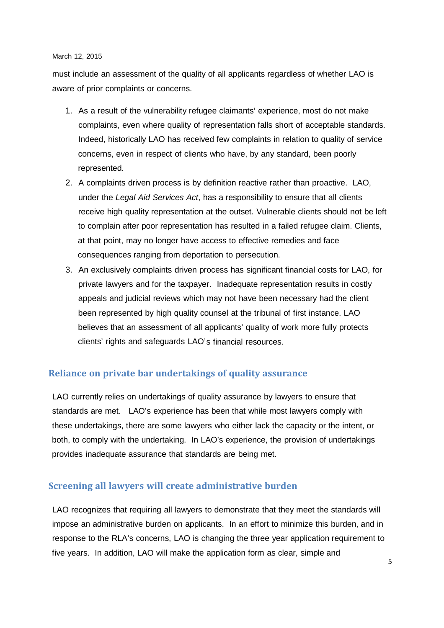must include an assessment of the quality of all applicants regardless of whether LAO is aware of prior complaints or concerns.

- 1. As a result of the vulnerability refugee claimants' experience, most do not make complaints, even where quality of representation falls short of acceptable standards. Indeed, historically LAO has received few complaints in relation to quality of service concerns, even in respect of clients who have, by any standard, been poorly represented.
- 2. A complaints driven process is by definition reactive rather than proactive. LAO, under the *Legal Aid Services Act*, has a responsibility to ensure that all clients receive high quality representation at the outset. Vulnerable clients should not be left to complain after poor representation has resulted in a failed refugee claim. Clients, at that point, may no longer have access to effective remedies and face consequences ranging from deportation to persecution.
- 3. An exclusively complaints driven process has significant financial costs for LAO, for private lawyers and for the taxpayer. Inadequate representation results in costly appeals and judicial reviews which may not have been necessary had the client been represented by high quality counsel at the tribunal of first instance. LAO believes that an assessment of all applicants' quality of work more fully protects clients' rights and safeguards LAO's financial resources.

# **Reliance on private bar undertakings of quality assurance**

LAO currently relies on undertakings of quality assurance by lawyers to ensure that standards are met. LAO's experience has been that while most lawyers comply with these undertakings, there are some lawyers who either lack the capacity or the intent, or both, to comply with the undertaking. In LAO's experience, the provision of undertakings provides inadequate assurance that standards are being met.

# **Screening all lawyers will create administrative burden**

LAO recognizes that requiring all lawyers to demonstrate that they meet the standards will impose an administrative burden on applicants. In an effort to minimize this burden, and in response to the RLA's concerns, LAO is changing the three year application requirement to five years. In addition, LAO will make the application form as clear, simple and